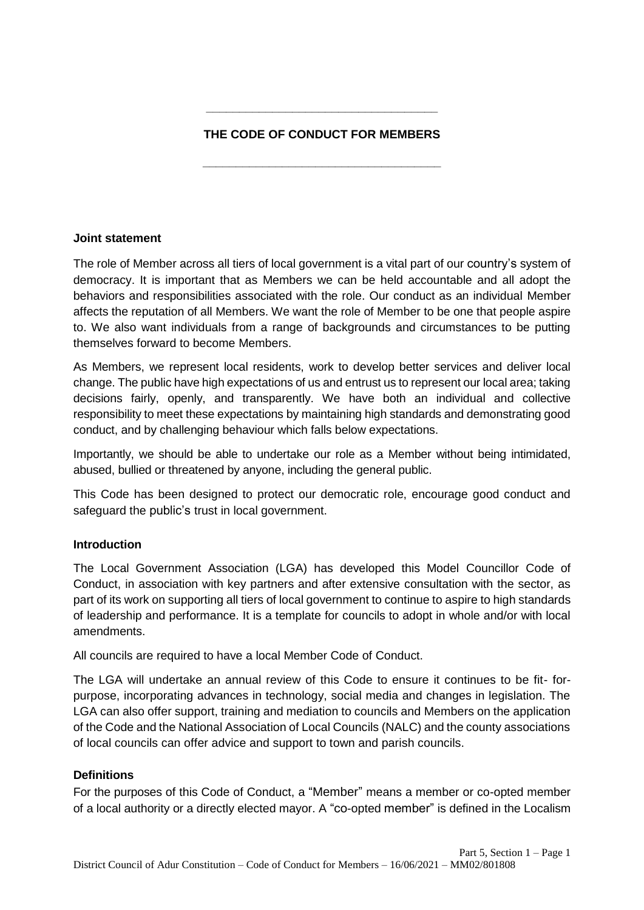# **THE CODE OF CONDUCT FOR MEMBERS**

**\_\_\_\_\_\_\_\_\_\_\_\_\_\_\_\_\_\_\_\_\_\_\_\_\_\_\_\_\_\_\_\_\_\_\_\_**

**\_\_\_\_\_\_\_\_\_\_\_\_\_\_\_\_\_\_\_\_\_\_\_\_\_\_\_\_\_\_\_\_\_\_\_**

## **Joint statement**

The role of Member across all tiers of local government is a vital part of our country's system of democracy. It is important that as Members we can be held accountable and all adopt the behaviors and responsibilities associated with the role. Our conduct as an individual Member affects the reputation of all Members. We want the role of Member to be one that people aspire to. We also want individuals from a range of backgrounds and circumstances to be putting themselves forward to become Members.

As Members, we represent local residents, work to develop better services and deliver local change. The public have high expectations of us and entrust us to represent our local area; taking decisions fairly, openly, and transparently. We have both an individual and collective responsibility to meet these expectations by maintaining high standards and demonstrating good conduct, and by challenging behaviour which falls below expectations.

Importantly, we should be able to undertake our role as a Member without being intimidated, abused, bullied or threatened by anyone, including the general public.

This Code has been designed to protect our democratic role, encourage good conduct and safeguard the public's trust in local government.

## **Introduction**

The Local Government Association (LGA) has developed this Model Councillor Code of Conduct, in association with key partners and after extensive consultation with the sector, as part of its work on supporting all tiers of local government to continue to aspire to high standards of leadership and performance. It is a template for councils to adopt in whole and/or with local amendments.

All councils are required to have a local Member Code of Conduct.

The LGA will undertake an annual review of this Code to ensure it continues to be fit- forpurpose, incorporating advances in technology, social media and changes in legislation. The LGA can also offer support, training and mediation to councils and Members on the application of the Code and the National Association of Local Councils (NALC) and the county associations of local councils can offer advice and support to town and parish councils.

## **Definitions**

For the purposes of this Code of Conduct, a "Member" means a member or co-opted member of a local authority or a directly elected mayor. A "co-opted member" is defined in the Localism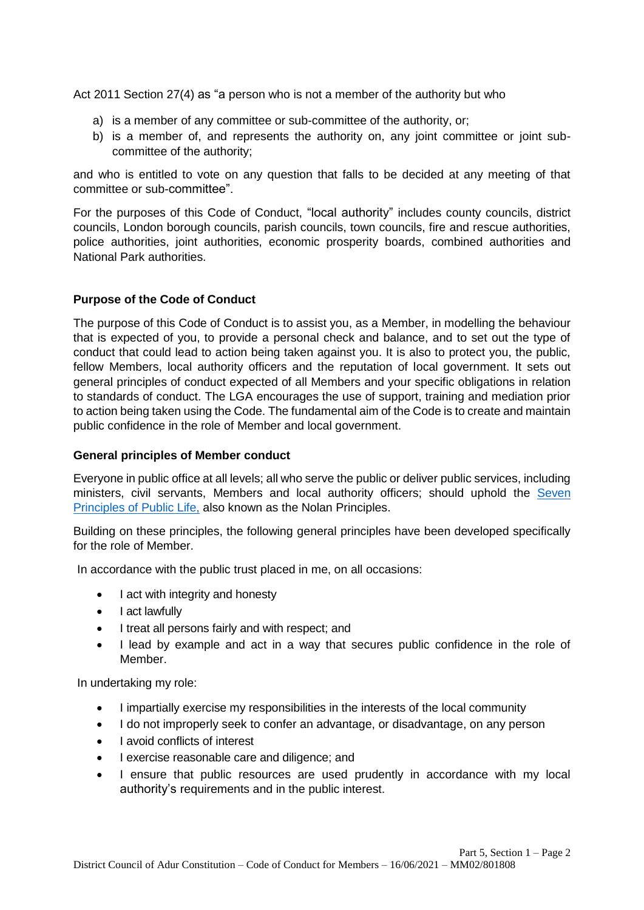Act 2011 Section 27(4) as "a person who is not a member of the authority but who

- a) is a member of any committee or sub-committee of the authority, or;
- b) is a member of, and represents the authority on, any joint committee or joint subcommittee of the authority;

and who is entitled to vote on any question that falls to be decided at any meeting of that committee or sub-committee".

For the purposes of this Code of Conduct, "local authority" includes county councils, district councils, London borough councils, parish councils, town councils, fire and rescue authorities, police authorities, joint authorities, economic prosperity boards, combined authorities and National Park authorities.

## **Purpose of the Code of Conduct**

The purpose of this Code of Conduct is to assist you, as a Member, in modelling the behaviour that is expected of you, to provide a personal check and balance, and to set out the type of conduct that could lead to action being taken against you. It is also to protect you, the public, fellow Members, local authority officers and the reputation of local government. It sets out general principles of conduct expected of all Members and your specific obligations in relation to standards of conduct. The LGA encourages the use of support, training and mediation prior to action being taken using the Code. The fundamental aim of the Code is to create and maintain public confidence in the role of Member and local government.

## **General principles of Member conduct**

Everyone in public office at all levels; all who serve the public or deliver public services, including ministers, civil servants, Members and local authority officers; should uphold the Seven [Principles of Public Life,](https://www.gov.uk/government/publications/the-7-principles-of-public-life/the-7-principles-of-public-life--2) also known as the Nolan Principles.

Building on these principles, the following general principles have been developed specifically for the role of Member.

In accordance with the public trust placed in me, on all occasions:

- I act with integrity and honesty
- Lact lawfully
- I treat all persons fairly and with respect; and
- I lead by example and act in a way that secures public confidence in the role of Member.

In undertaking my role:

- I impartially exercise my responsibilities in the interests of the local community
- I do not improperly seek to confer an advantage, or disadvantage, on any person
- I avoid conflicts of interest
- I exercise reasonable care and diligence; and
- I ensure that public resources are used prudently in accordance with my local authority's requirements and in the public interest.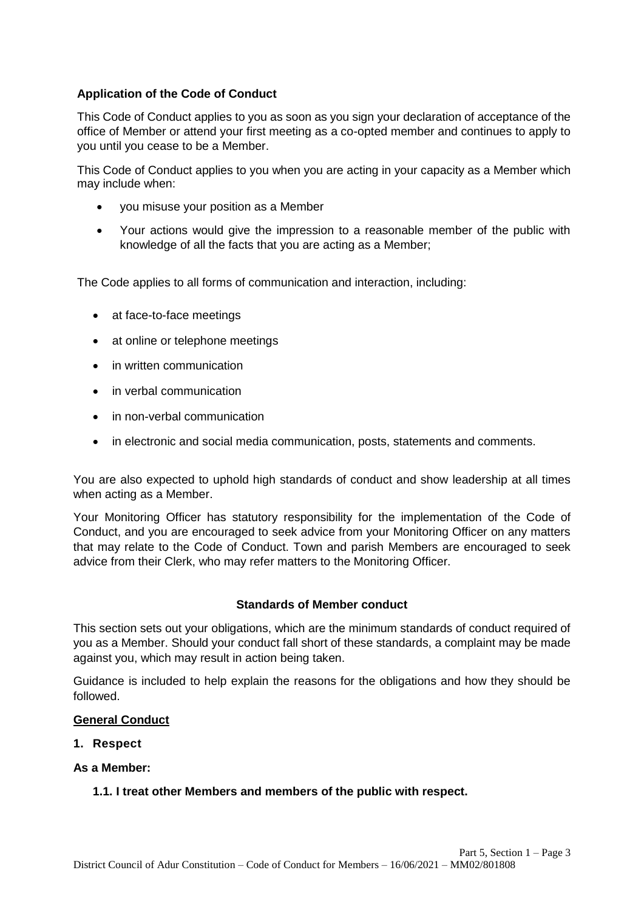# **Application of the Code of Conduct**

This Code of Conduct applies to you as soon as you sign your declaration of acceptance of the office of Member or attend your first meeting as a co-opted member and continues to apply to you until you cease to be a Member.

This Code of Conduct applies to you when you are acting in your capacity as a Member which may include when:

- you misuse your position as a Member
- Your actions would give the impression to a reasonable member of the public with knowledge of all the facts that you are acting as a Member;

The Code applies to all forms of communication and interaction, including:

- at face-to-face meetings
- at online or telephone meetings
- in written communication
- in verbal communication
- in non-verbal communication
- in electronic and social media communication, posts, statements and comments.

You are also expected to uphold high standards of conduct and show leadership at all times when acting as a Member.

Your Monitoring Officer has statutory responsibility for the implementation of the Code of Conduct, and you are encouraged to seek advice from your Monitoring Officer on any matters that may relate to the Code of Conduct. Town and parish Members are encouraged to seek advice from their Clerk, who may refer matters to the Monitoring Officer.

#### **Standards of Member conduct**

This section sets out your obligations, which are the minimum standards of conduct required of you as a Member. Should your conduct fall short of these standards, a complaint may be made against you, which may result in action being taken.

Guidance is included to help explain the reasons for the obligations and how they should be followed.

## **General Conduct**

**1. Respect**

#### **As a Member:**

#### **1.1. I treat other Members and members of the public with respect.**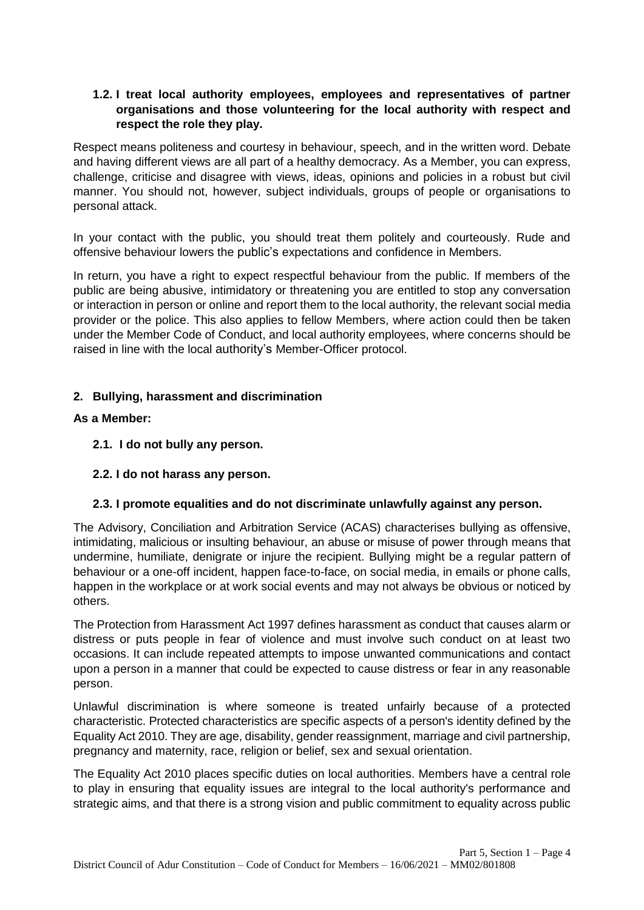# **1.2. I treat local authority employees, employees and representatives of partner organisations and those volunteering for the local authority with respect and respect the role they play.**

Respect means politeness and courtesy in behaviour, speech, and in the written word. Debate and having different views are all part of a healthy democracy. As a Member, you can express, challenge, criticise and disagree with views, ideas, opinions and policies in a robust but civil manner. You should not, however, subject individuals, groups of people or organisations to personal attack.

In your contact with the public, you should treat them politely and courteously. Rude and offensive behaviour lowers the public's expectations and confidence in Members.

In return, you have a right to expect respectful behaviour from the public. If members of the public are being abusive, intimidatory or threatening you are entitled to stop any conversation or interaction in person or online and report them to the local authority, the relevant social media provider or the police. This also applies to fellow Members, where action could then be taken under the Member Code of Conduct, and local authority employees, where concerns should be raised in line with the local authority's Member-Officer protocol.

# **2. Bullying, harassment and discrimination**

## **As a Member:**

- **2.1. I do not bully any person.**
- **2.2. I do not harass any person.**

# **2.3. I promote equalities and do not discriminate unlawfully against any person.**

The Advisory, Conciliation and Arbitration Service (ACAS) characterises bullying as offensive, intimidating, malicious or insulting behaviour, an abuse or misuse of power through means that undermine, humiliate, denigrate or injure the recipient. Bullying might be a regular pattern of behaviour or a one-off incident, happen face-to-face, on social media, in emails or phone calls, happen in the workplace or at work social events and may not always be obvious or noticed by others.

The Protection from Harassment Act 1997 defines harassment as conduct that causes alarm or distress or puts people in fear of violence and must involve such conduct on at least two occasions. It can include repeated attempts to impose unwanted communications and contact upon a person in a manner that could be expected to cause distress or fear in any reasonable person.

Unlawful discrimination is where someone is treated unfairly because of a protected characteristic. Protected characteristics are specific aspects of a person's identity defined by the Equality Act 2010. They are age, disability, gender reassignment, marriage and civil partnership, pregnancy and maternity, race, religion or belief, sex and sexual orientation.

The Equality Act 2010 places specific duties on local authorities. Members have a central role to play in ensuring that equality issues are integral to the local authority's performance and strategic aims, and that there is a strong vision and public commitment to equality across public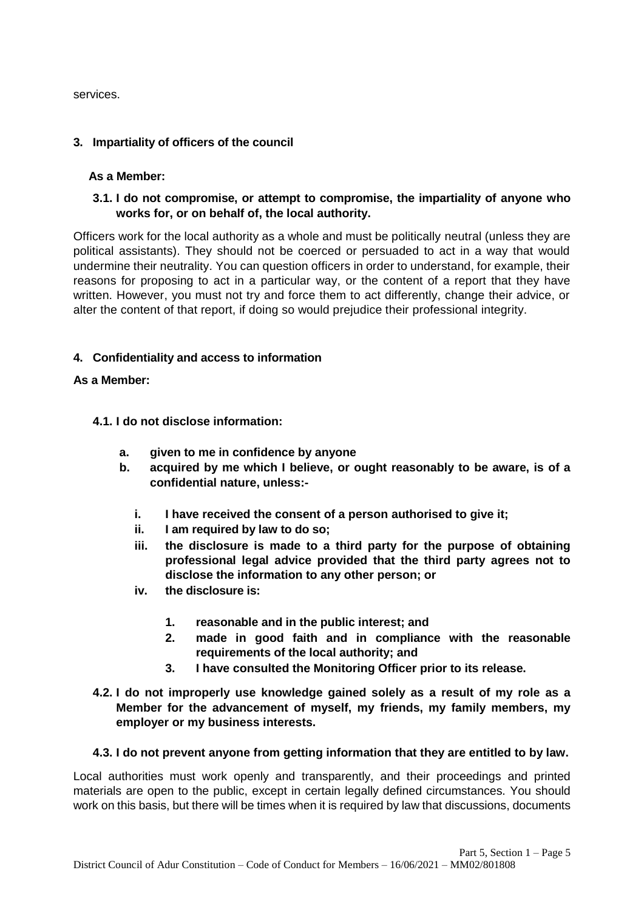services.

## **3. Impartiality of officers of the council**

#### **As a Member:**

**3.1. I do not compromise, or attempt to compromise, the impartiality of anyone who works for, or on behalf of, the local authority.**

Officers work for the local authority as a whole and must be politically neutral (unless they are political assistants). They should not be coerced or persuaded to act in a way that would undermine their neutrality. You can question officers in order to understand, for example, their reasons for proposing to act in a particular way, or the content of a report that they have written. However, you must not try and force them to act differently, change their advice, or alter the content of that report, if doing so would prejudice their professional integrity.

## **4. Confidentiality and access to information**

#### **As a Member:**

#### **4.1. I do not disclose information:**

- **a. given to me in confidence by anyone**
- **b. acquired by me which I believe, or ought reasonably to be aware, is of a confidential nature, unless:**
	- **i. I have received the consent of a person authorised to give it;**
	- **ii. I am required by law to do so;**
	- **iii. the disclosure is made to a third party for the purpose of obtaining professional legal advice provided that the third party agrees not to disclose the information to any other person; or**
	- **iv. the disclosure is:**
		- **1. reasonable and in the public interest; and**
		- **2. made in good faith and in compliance with the reasonable requirements of the local authority; and**
		- **3. I have consulted the Monitoring Officer prior to its release.**
- **4.2. I do not improperly use knowledge gained solely as a result of my role as a Member for the advancement of myself, my friends, my family members, my employer or my business interests.**

#### **4.3. I do not prevent anyone from getting information that they are entitled to by law.**

Local authorities must work openly and transparently, and their proceedings and printed materials are open to the public, except in certain legally defined circumstances. You should work on this basis, but there will be times when it is required by law that discussions, documents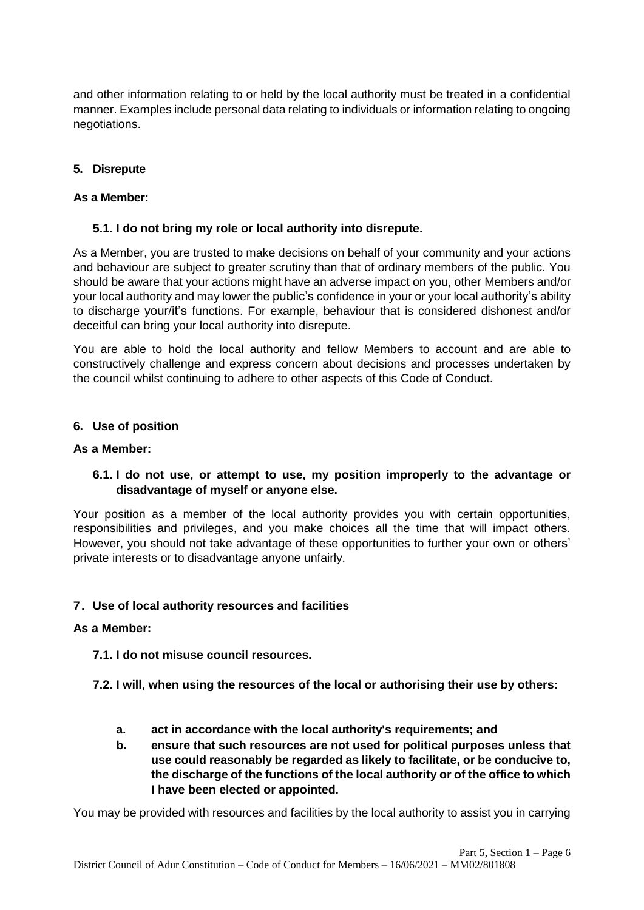and other information relating to or held by the local authority must be treated in a confidential manner. Examples include personal data relating to individuals or information relating to ongoing negotiations.

## **5. Disrepute**

## **As a Member:**

## **5.1. I do not bring my role or local authority into disrepute.**

As a Member, you are trusted to make decisions on behalf of your community and your actions and behaviour are subject to greater scrutiny than that of ordinary members of the public. You should be aware that your actions might have an adverse impact on you, other Members and/or your local authority and may lower the public's confidence in your or your local authority's ability to discharge your/it's functions. For example, behaviour that is considered dishonest and/or deceitful can bring your local authority into disrepute.

You are able to hold the local authority and fellow Members to account and are able to constructively challenge and express concern about decisions and processes undertaken by the council whilst continuing to adhere to other aspects of this Code of Conduct.

## **6. Use of position**

#### **As a Member:**

# **6.1. I do not use, or attempt to use, my position improperly to the advantage or disadvantage of myself or anyone else.**

Your position as a member of the local authority provides you with certain opportunities, responsibilities and privileges, and you make choices all the time that will impact others. However, you should not take advantage of these opportunities to further your own or others' private interests or to disadvantage anyone unfairly.

## **7. Use of local authority resources and facilities**

## **As a Member:**

**7.1. I do not misuse council resources.**

- **7.2. I will, when using the resources of the local or authorising their use by others:**
	- **a. act in accordance with the local authority's requirements; and**
	- **b. ensure that such resources are not used for political purposes unless that use could reasonably be regarded as likely to facilitate, or be conducive to, the discharge of the functions of the local authority or of the office to which I have been elected or appointed.**

You may be provided with resources and facilities by the local authority to assist you in carrying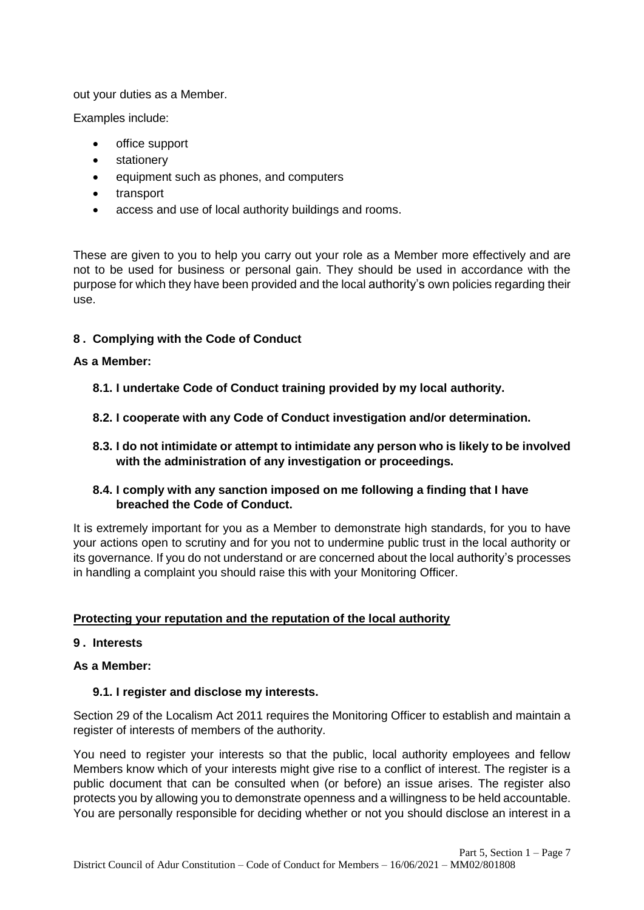out your duties as a Member.

Examples include:

- office support
- stationery
- equipment such as phones, and computers
- transport
- access and use of local authority buildings and rooms.

These are given to you to help you carry out your role as a Member more effectively and are not to be used for business or personal gain. They should be used in accordance with the purpose for which they have been provided and the local authority's own policies regarding their use.

# **8 . Complying with the Code of Conduct**

## **As a Member:**

- **8.1. I undertake Code of Conduct training provided by my local authority.**
- **8.2. I cooperate with any Code of Conduct investigation and/or determination.**
- **8.3. I do not intimidate or attempt to intimidate any person who is likely to be involved with the administration of any investigation or proceedings.**

# **8.4. I comply with any sanction imposed on me following a finding that I have breached the Code of Conduct.**

It is extremely important for you as a Member to demonstrate high standards, for you to have your actions open to scrutiny and for you not to undermine public trust in the local authority or its governance. If you do not understand or are concerned about the local authority's processes in handling a complaint you should raise this with your Monitoring Officer.

## **Protecting your reputation and the reputation of the local authority**

## **9 . Interests**

## **As a Member:**

## **9.1. I register and disclose my interests.**

Section 29 of the Localism Act 2011 requires the Monitoring Officer to establish and maintain a register of interests of members of the authority.

You need to register your interests so that the public, local authority employees and fellow Members know which of your interests might give rise to a conflict of interest. The register is a public document that can be consulted when (or before) an issue arises. The register also protects you by allowing you to demonstrate openness and a willingness to be held accountable. You are personally responsible for deciding whether or not you should disclose an interest in a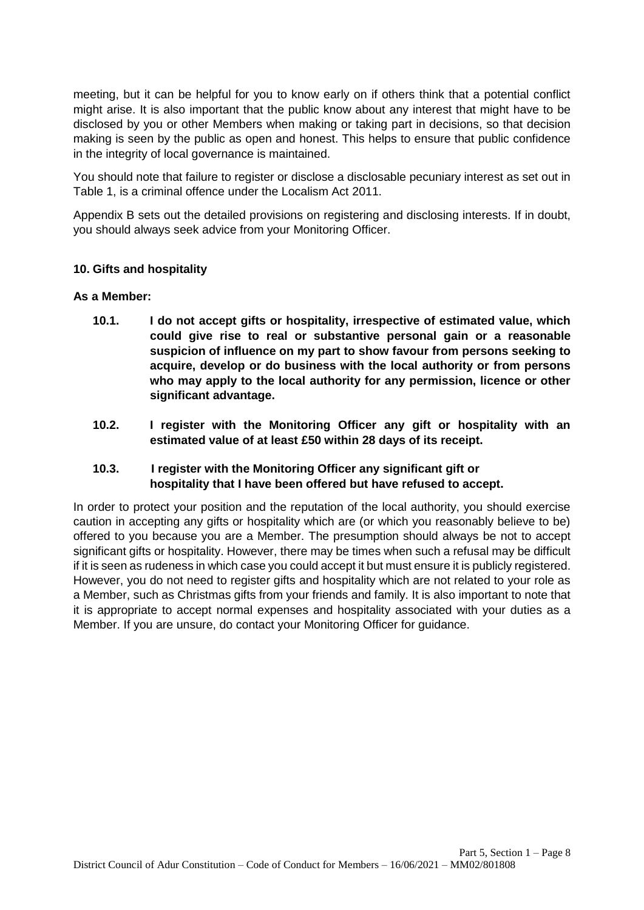meeting, but it can be helpful for you to know early on if others think that a potential conflict might arise. It is also important that the public know about any interest that might have to be disclosed by you or other Members when making or taking part in decisions, so that decision making is seen by the public as open and honest. This helps to ensure that public confidence in the integrity of local governance is maintained.

You should note that failure to register or disclose a disclosable pecuniary interest as set out in Table 1, is a criminal offence under the Localism Act 2011.

Appendix B sets out the detailed provisions on registering and disclosing interests. If in doubt, you should always seek advice from your Monitoring Officer.

## **10. Gifts and hospitality**

#### **As a Member:**

- **10.1. I do not accept gifts or hospitality, irrespective of estimated value, which could give rise to real or substantive personal gain or a reasonable suspicion of influence on my part to show favour from persons seeking to acquire, develop or do business with the local authority or from persons who may apply to the local authority for any permission, licence or other significant advantage.**
- **10.2. I register with the Monitoring Officer any gift or hospitality with an estimated value of at least £50 within 28 days of its receipt.**

## **10.3. I register with the Monitoring Officer any significant gift or hospitality that I have been offered but have refused to accept.**

In order to protect your position and the reputation of the local authority, you should exercise caution in accepting any gifts or hospitality which are (or which you reasonably believe to be) offered to you because you are a Member. The presumption should always be not to accept significant gifts or hospitality. However, there may be times when such a refusal may be difficult if it is seen as rudeness in which case you could accept it but must ensure it is publicly registered. However, you do not need to register gifts and hospitality which are not related to your role as a Member, such as Christmas gifts from your friends and family. It is also important to note that it is appropriate to accept normal expenses and hospitality associated with your duties as a Member. If you are unsure, do contact your Monitoring Officer for guidance.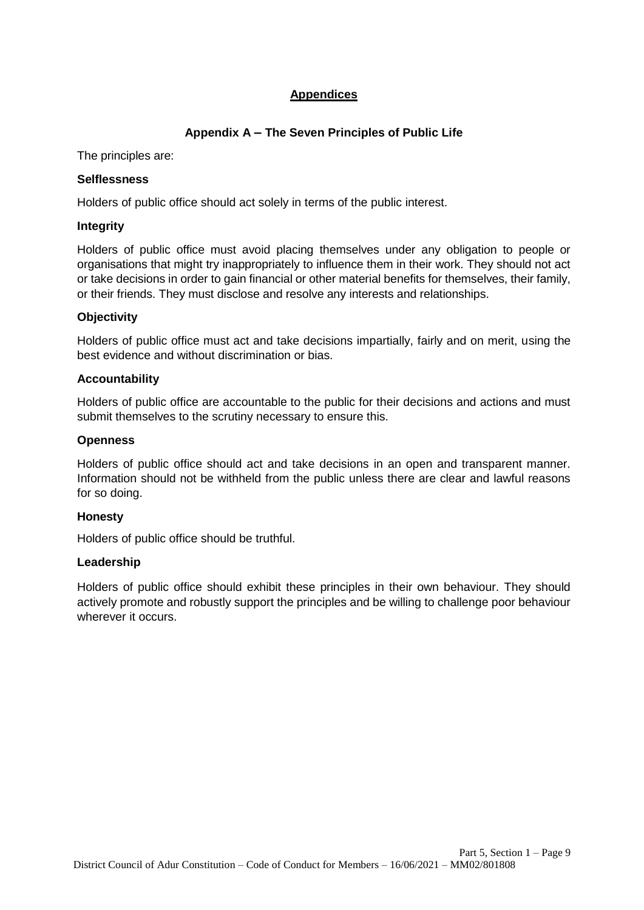# **Appendices**

# **Appendix A – The Seven Principles of Public Life**

The principles are:

# **Selflessness**

Holders of public office should act solely in terms of the public interest.

## **Integrity**

Holders of public office must avoid placing themselves under any obligation to people or organisations that might try inappropriately to influence them in their work. They should not act or take decisions in order to gain financial or other material benefits for themselves, their family, or their friends. They must disclose and resolve any interests and relationships.

# **Objectivity**

Holders of public office must act and take decisions impartially, fairly and on merit, using the best evidence and without discrimination or bias.

# **Accountability**

Holders of public office are accountable to the public for their decisions and actions and must submit themselves to the scrutiny necessary to ensure this.

# **Openness**

Holders of public office should act and take decisions in an open and transparent manner. Information should not be withheld from the public unless there are clear and lawful reasons for so doing.

## **Honesty**

Holders of public office should be truthful.

## **Leadership**

Holders of public office should exhibit these principles in their own behaviour. They should actively promote and robustly support the principles and be willing to challenge poor behaviour wherever it occurs.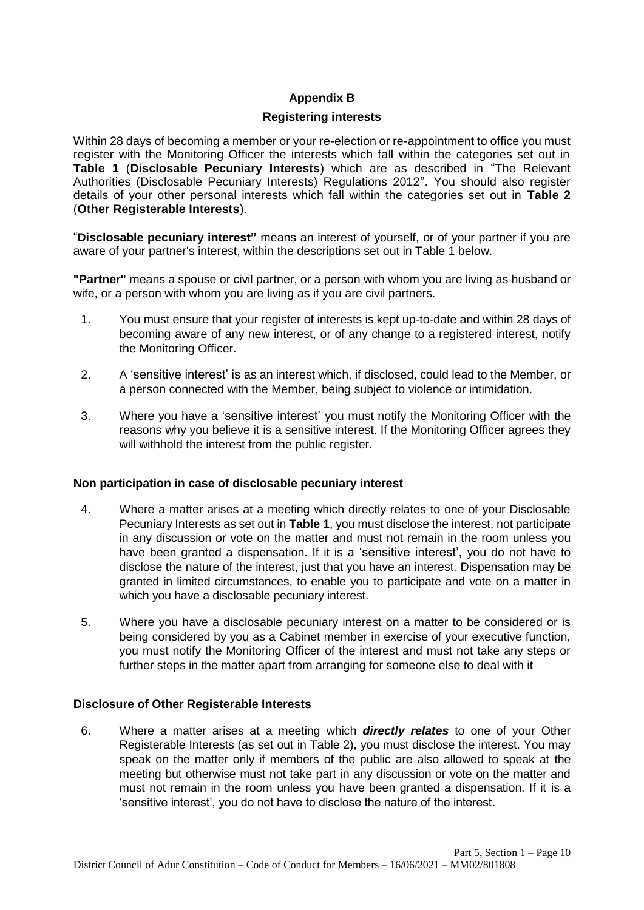# **Appendix B**

#### **Registering interests**

Within 28 days of becoming a member or your re-election or re-appointment to office you must register with the Monitoring Officer the interests which fall within the categories set out in **Table 1** (**Disclosable Pecuniary Interests**) which are as described in "The Relevant Authorities (Disclosable Pecuniary Interests) Regulations 2012". You should also register details of your other personal interests which fall within the categories set out in **Table 2**  (**Other Registerable Interests**).

"**Disclosable pecuniary interest"** means an interest of yourself, or of your partner if you are aware of your partner's interest, within the descriptions set out in Table 1 below.

**"Partner"** means a spouse or civil partner, or a person with whom you are living as husband or wife, or a person with whom you are living as if you are civil partners.

- 1. You must ensure that your register of interests is kept up-to-date and within 28 days of becoming aware of any new interest, or of any change to a registered interest, notify the Monitoring Officer.
- 2. A 'sensitive interest' is as an interest which, if disclosed, could lead to the Member, or a person connected with the Member, being subject to violence or intimidation.
- 3. Where you have a 'sensitive interest' you must notify the Monitoring Officer with the reasons why you believe it is a sensitive interest. If the Monitoring Officer agrees they will withhold the interest from the public register.

## **Non participation in case of disclosable pecuniary interest**

- 4. Where a matter arises at a meeting which directly relates to one of your Disclosable Pecuniary Interests as set out in **Table 1**, you must disclose the interest, not participate in any discussion or vote on the matter and must not remain in the room unless you have been granted a dispensation. If it is a 'sensitive interest', you do not have to disclose the nature of the interest, just that you have an interest. Dispensation may be granted in limited circumstances, to enable you to participate and vote on a matter in which you have a disclosable pecuniary interest.
- 5. Where you have a disclosable pecuniary interest on a matter to be considered or is being considered by you as a Cabinet member in exercise of your executive function, you must notify the Monitoring Officer of the interest and must not take any steps or further steps in the matter apart from arranging for someone else to deal with it

## **Disclosure of Other Registerable Interests**

6. Where a matter arises at a meeting which *directly relates* to one of your Other Registerable Interests (as set out in Table 2), you must disclose the interest. You may speak on the matter only if members of the public are also allowed to speak at the meeting but otherwise must not take part in any discussion or vote on the matter and must not remain in the room unless you have been granted a dispensation. If it is a 'sensitive interest', you do not have to disclose the nature of the interest.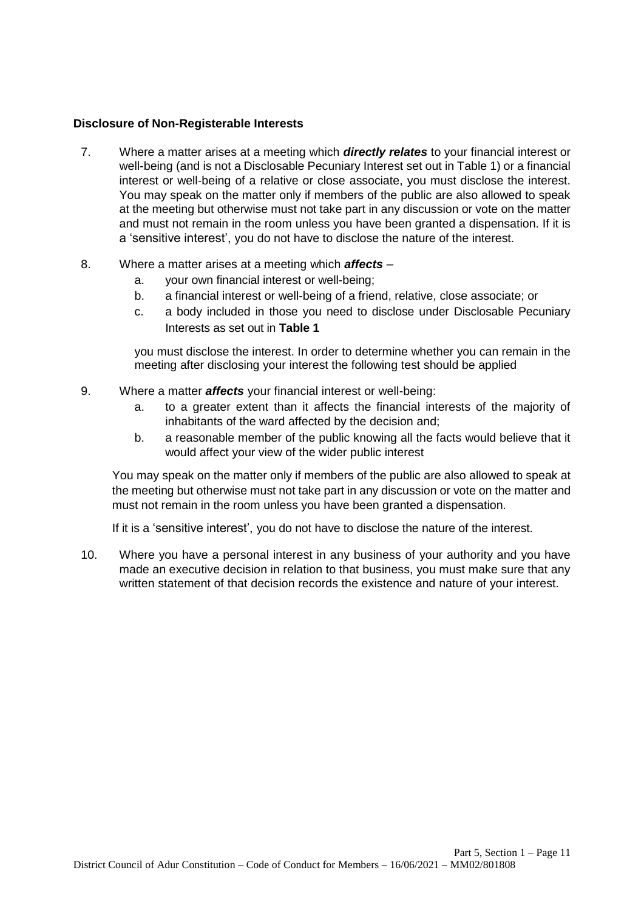#### **Disclosure of Non-Registerable Interests**

- 7. Where a matter arises at a meeting which *directly relates* to your financial interest or well-being (and is not a Disclosable Pecuniary Interest set out in Table 1) or a financial interest or well-being of a relative or close associate, you must disclose the interest. You may speak on the matter only if members of the public are also allowed to speak at the meeting but otherwise must not take part in any discussion or vote on the matter and must not remain in the room unless you have been granted a dispensation. If it is a 'sensitive interest', you do not have to disclose the nature of the interest.
- 8. Where a matter arises at a meeting which *affects* 
	- a. your own financial interest or well-being;
	- b. a financial interest or well-being of a friend, relative, close associate; or
	- c. a body included in those you need to disclose under Disclosable Pecuniary Interests as set out in **Table 1**

you must disclose the interest. In order to determine whether you can remain in the meeting after disclosing your interest the following test should be applied

- 9. Where a matter *affects* your financial interest or well-being:
	- a. to a greater extent than it affects the financial interests of the majority of inhabitants of the ward affected by the decision and;
	- b. a reasonable member of the public knowing all the facts would believe that it would affect your view of the wider public interest

You may speak on the matter only if members of the public are also allowed to speak at the meeting but otherwise must not take part in any discussion or vote on the matter and must not remain in the room unless you have been granted a dispensation.

If it is a 'sensitive interest', you do not have to disclose the nature of the interest.

10. Where you have a personal interest in any business of your authority and you have made an executive decision in relation to that business, you must make sure that any written statement of that decision records the existence and nature of your interest.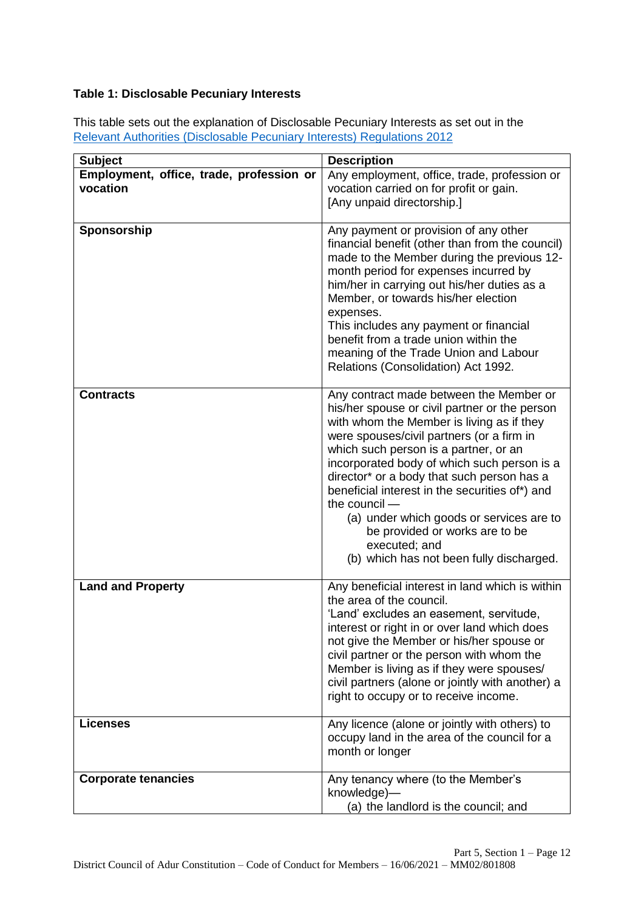# **Table 1: Disclosable Pecuniary Interests**

This table sets out the explanation of Disclosable Pecuniary Interests as set out in the [Relevant Authorities \(Disclosable Pecuniary Interests\) Regulations 2012](https://www.legislation.gov.uk/uksi/2012/1464/made)

| <b>Subject</b>                                       | <b>Description</b>                                                                                                                                                                                                                                                                                                                                                                                                                                                                                                                     |
|------------------------------------------------------|----------------------------------------------------------------------------------------------------------------------------------------------------------------------------------------------------------------------------------------------------------------------------------------------------------------------------------------------------------------------------------------------------------------------------------------------------------------------------------------------------------------------------------------|
| Employment, office, trade, profession or<br>vocation | Any employment, office, trade, profession or<br>vocation carried on for profit or gain.<br>[Any unpaid directorship.]                                                                                                                                                                                                                                                                                                                                                                                                                  |
| Sponsorship                                          | Any payment or provision of any other<br>financial benefit (other than from the council)<br>made to the Member during the previous 12-<br>month period for expenses incurred by<br>him/her in carrying out his/her duties as a<br>Member, or towards his/her election<br>expenses.<br>This includes any payment or financial<br>benefit from a trade union within the<br>meaning of the Trade Union and Labour<br>Relations (Consolidation) Act 1992.                                                                                  |
| <b>Contracts</b>                                     | Any contract made between the Member or<br>his/her spouse or civil partner or the person<br>with whom the Member is living as if they<br>were spouses/civil partners (or a firm in<br>which such person is a partner, or an<br>incorporated body of which such person is a<br>director* or a body that such person has a<br>beneficial interest in the securities of*) and<br>the council -<br>(a) under which goods or services are to<br>be provided or works are to be<br>executed; and<br>(b) which has not been fully discharged. |
| <b>Land and Property</b>                             | Any beneficial interest in land which is within<br>the area of the council.<br>'Land' excludes an easement, servitude,<br>interest or right in or over land which does<br>not give the Member or his/her spouse or<br>civil partner or the person with whom the<br>Member is living as if they were spouses/<br>civil partners (alone or jointly with another) a<br>right to occupy or to receive income.                                                                                                                              |
| <b>Licenses</b>                                      | Any licence (alone or jointly with others) to<br>occupy land in the area of the council for a<br>month or longer                                                                                                                                                                                                                                                                                                                                                                                                                       |
| <b>Corporate tenancies</b>                           | Any tenancy where (to the Member's<br>knowledge)-<br>(a) the landlord is the council; and                                                                                                                                                                                                                                                                                                                                                                                                                                              |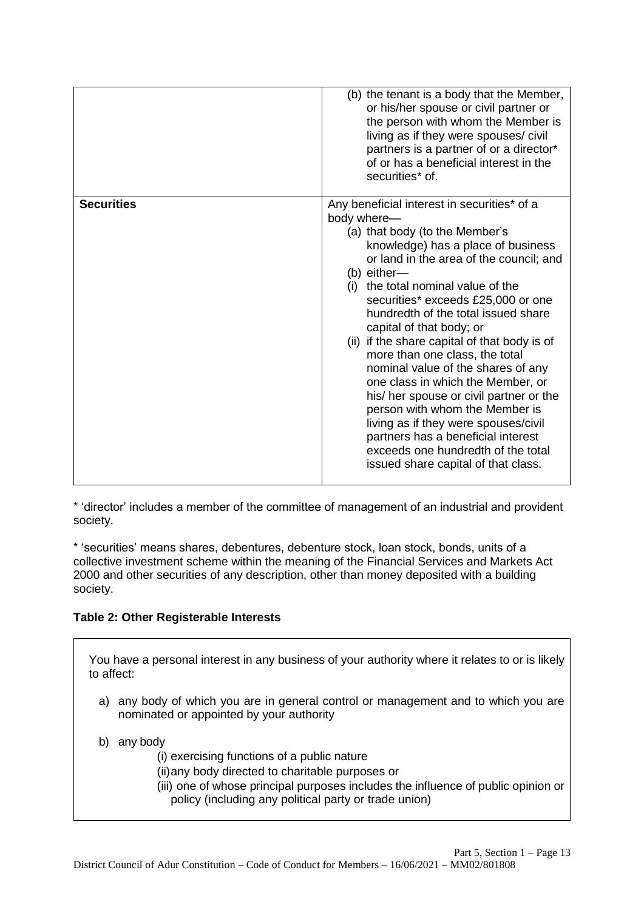|                   | (b) the tenant is a body that the Member,<br>or his/her spouse or civil partner or<br>the person with whom the Member is<br>living as if they were spouses/ civil<br>partners is a partner of or a director*<br>of or has a beneficial interest in the<br>securities* of.                                                                                                                                                                                                                                                                                                                                                                                                                                                                        |
|-------------------|--------------------------------------------------------------------------------------------------------------------------------------------------------------------------------------------------------------------------------------------------------------------------------------------------------------------------------------------------------------------------------------------------------------------------------------------------------------------------------------------------------------------------------------------------------------------------------------------------------------------------------------------------------------------------------------------------------------------------------------------------|
| <b>Securities</b> | Any beneficial interest in securities* of a<br>body where-<br>(a) that body (to the Member's<br>knowledge) has a place of business<br>or land in the area of the council; and<br>(b) either-<br>(i) the total nominal value of the<br>securities* exceeds £25,000 or one<br>hundredth of the total issued share<br>capital of that body; or<br>(ii) if the share capital of that body is of<br>more than one class, the total<br>nominal value of the shares of any<br>one class in which the Member, or<br>his/ her spouse or civil partner or the<br>person with whom the Member is<br>living as if they were spouses/civil<br>partners has a beneficial interest<br>exceeds one hundredth of the total<br>issued share capital of that class. |

\* 'director' includes a member of the committee of management of an industrial and provident society.

\* 'securities' means shares, debentures, debenture stock, loan stock, bonds, units of a collective investment scheme within the meaning of the Financial Services and Markets Act 2000 and other securities of any description, other than money deposited with a building society.

# **Table 2: Other Registerable Interests**

You have a personal interest in any business of your authority where it relates to or is likely to affect:

- a) any body of which you are in general control or management and to which you are nominated or appointed by your authority
- b) any body
	- (i) exercising functions of a public nature
	- (ii)any body directed to charitable purposes or
	- (iii) one of whose principal purposes includes the influence of public opinion or policy (including any political party or trade union)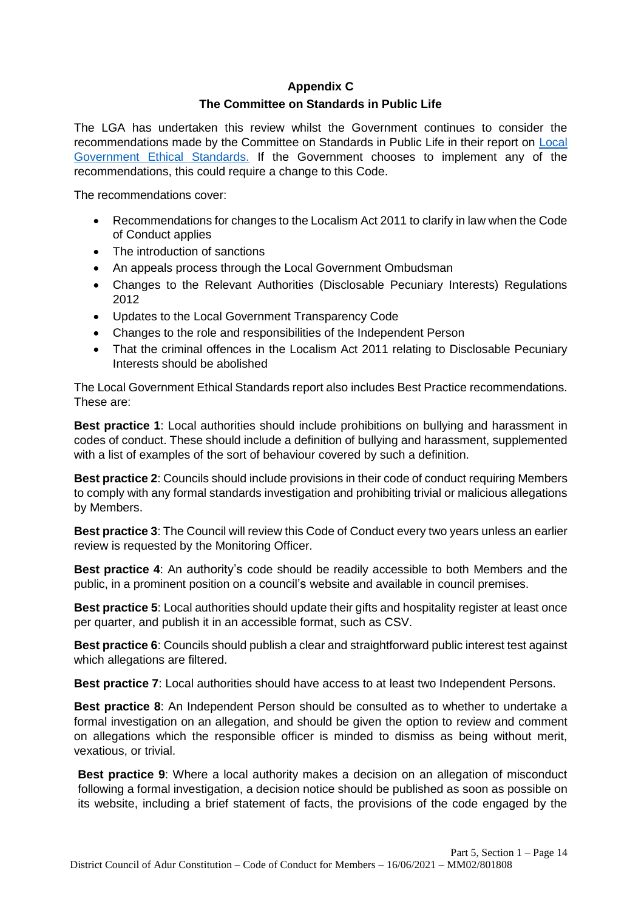# **Appendix C The Committee on Standards in Public Life**

The LGA has undertaken this review whilst the Government continues to consider the recommendations made by the Committee on Standards in Public Life in their report on Local Government Ethical Standards. If the Government chooses to implement any of the recommendations, this could require a change to this Code.

The recommendations cover:

- Recommendations for changes to the Localism Act 2011 to clarify in law when the Code of Conduct applies
- The introduction of sanctions
- An appeals process through the Local Government Ombudsman
- Changes to the Relevant Authorities (Disclosable Pecuniary Interests) Regulations 2012
- Updates to the Local Government Transparency Code
- Changes to the role and responsibilities of the Independent Person
- That the criminal offences in the Localism Act 2011 relating to Disclosable Pecuniary Interests should be abolished

The Local Government Ethical Standards report also includes Best Practice recommendations. These are:

**Best practice 1**: Local authorities should include prohibitions on bullying and harassment in codes of conduct. These should include a definition of bullying and harassment, supplemented with a list of examples of the sort of behaviour covered by such a definition.

**Best practice 2**: Councils should include provisions in their code of conduct requiring Members to comply with any formal standards investigation and prohibiting trivial or malicious allegations by Members.

**Best practice 3**: The Council will review this Code of Conduct every two years unless an earlier review is requested by the Monitoring Officer.

**Best practice 4**: An authority's code should be readily accessible to both Members and the public, in a prominent position on a council's website and available in council premises.

**Best practice 5**: Local authorities should update their gifts and hospitality register at least once per quarter, and publish it in an accessible format, such as CSV.

**Best practice 6**: Councils should publish a clear and straightforward public interest test against which allegations are filtered.

**Best practice 7**: Local authorities should have access to at least two Independent Persons.

**Best practice 8**: An Independent Person should be consulted as to whether to undertake a formal investigation on an allegation, and should be given the option to review and comment on allegations which the responsible officer is minded to dismiss as being without merit, vexatious, or trivial.

**Best practice 9**: Where a local authority makes a decision on an allegation of misconduct following a formal investigation, a decision notice should be published as soon as possible on its website, including a brief statement of facts, the provisions of the code engaged by the